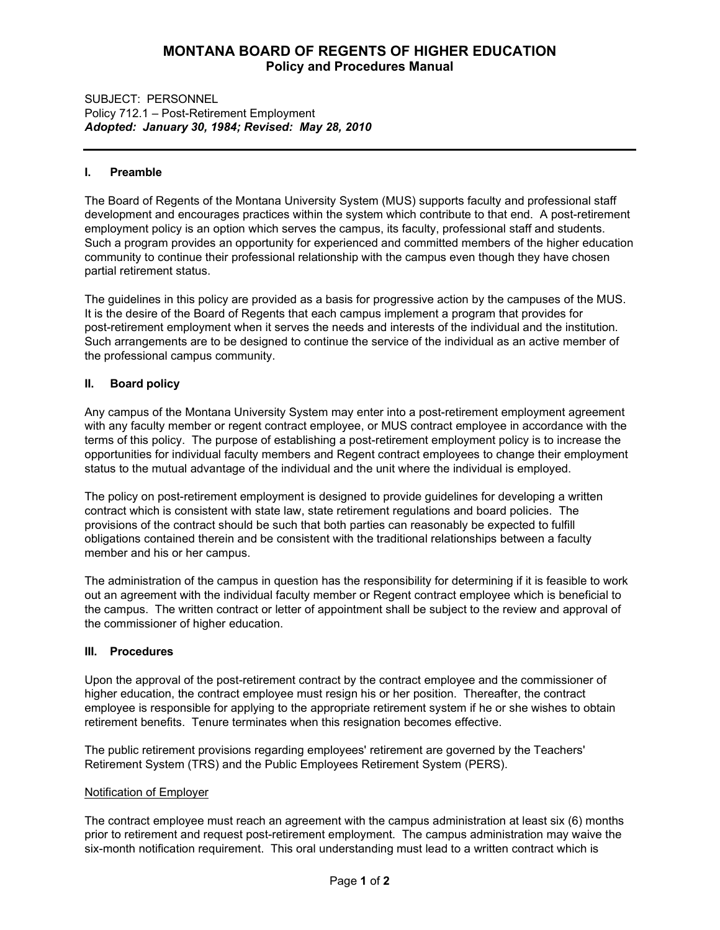# **MONTANA BOARD OF REGENTS OF HIGHER EDUCATION Policy and Procedures Manual**

## SUBJECT: PERSONNEL Policy 712.1 – Post-Retirement Employment *Adopted: January 30, 1984; Revised: May 28, 2010*

# **I. Preamble**

The Board of Regents of the Montana University System (MUS) supports faculty and professional staff development and encourages practices within the system which contribute to that end. A post-retirement employment policy is an option which serves the campus, its faculty, professional staff and students. Such a program provides an opportunity for experienced and committed members of the higher education community to continue their professional relationship with the campus even though they have chosen partial retirement status.

The guidelines in this policy are provided as a basis for progressive action by the campuses of the MUS. It is the desire of the Board of Regents that each campus implement a program that provides for post-retirement employment when it serves the needs and interests of the individual and the institution. Such arrangements are to be designed to continue the service of the individual as an active member of the professional campus community.

# **II. Board policy**

Any campus of the Montana University System may enter into a post-retirement employment agreement with any faculty member or regent contract employee, or MUS contract employee in accordance with the terms of this policy. The purpose of establishing a post-retirement employment policy is to increase the opportunities for individual faculty members and Regent contract employees to change their employment status to the mutual advantage of the individual and the unit where the individual is employed.

The policy on post-retirement employment is designed to provide guidelines for developing a written contract which is consistent with state law, state retirement regulations and board policies. The provisions of the contract should be such that both parties can reasonably be expected to fulfill obligations contained therein and be consistent with the traditional relationships between a faculty member and his or her campus.

The administration of the campus in question has the responsibility for determining if it is feasible to work out an agreement with the individual faculty member or Regent contract employee which is beneficial to the campus. The written contract or letter of appointment shall be subject to the review and approval of the commissioner of higher education.

## **III. Procedures**

Upon the approval of the post-retirement contract by the contract employee and the commissioner of higher education, the contract employee must resign his or her position. Thereafter, the contract employee is responsible for applying to the appropriate retirement system if he or she wishes to obtain retirement benefits. Tenure terminates when this resignation becomes effective.

The public retirement provisions regarding employees' retirement are governed by the Teachers' Retirement System (TRS) and the Public Employees Retirement System (PERS).

## Notification of Employer

The contract employee must reach an agreement with the campus administration at least six (6) months prior to retirement and request post-retirement employment. The campus administration may waive the six-month notification requirement. This oral understanding must lead to a written contract which is